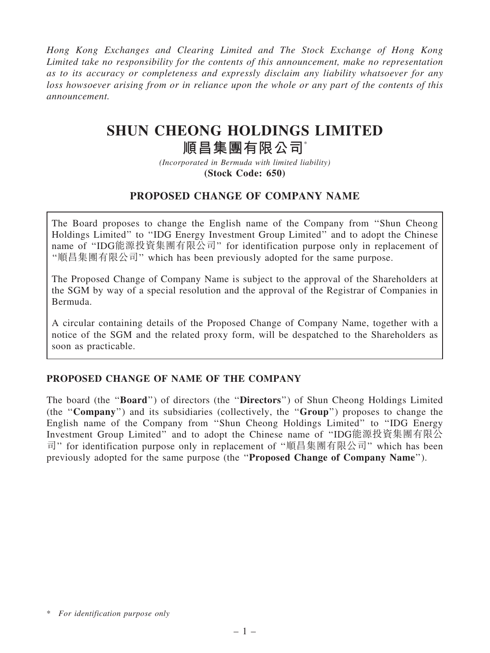Hong Kong Exchanges and Clearing Limited and The Stock Exchange of Hong Kong Limited take no responsibility for the contents of this announcement, make no representation as to its accuracy or completeness and expressly disclaim any liability whatsoever for any loss howsoever arising from or in reliance upon the whole or any part of the contents of this announcement.

# SHUN CHEONG HOLDINGS LIMITED

# 順昌集團有限公司\*

(Incorporated in Bermuda with limited liability) (Stock Code: 650)

# PROPOSED CHANGE OF COMPANY NAME

The Board proposes to change the English name of the Company from ''Shun Cheong Holdings Limited'' to ''IDG Energy Investment Group Limited'' and to adopt the Chinese name of ''IDG能源投資集團有限公司'' for identification purpose only in replacement of ''順昌集團有限公司'' which has been previously adopted for the same purpose.

The Proposed Change of Company Name is subject to the approval of the Shareholders at the SGM by way of a special resolution and the approval of the Registrar of Companies in Bermuda.

A circular containing details of the Proposed Change of Company Name, together with a notice of the SGM and the related proxy form, will be despatched to the Shareholders as soon as practicable.

## PROPOSED CHANGE OF NAME OF THE COMPANY

The board (the ''Board'') of directors (the ''Directors'') of Shun Cheong Holdings Limited (the ''Company'') and its subsidiaries (collectively, the ''Group'') proposes to change the English name of the Company from ''Shun Cheong Holdings Limited'' to ''IDG Energy Investment Group Limited'' and to adopt the Chinese name of ''IDG能源投資集團有限公 司'' for identification purpose only in replacement of ''順昌集團有限公司'' which has been previously adopted for the same purpose (the ''Proposed Change of Company Name'').

<sup>\*</sup> For identification purpose only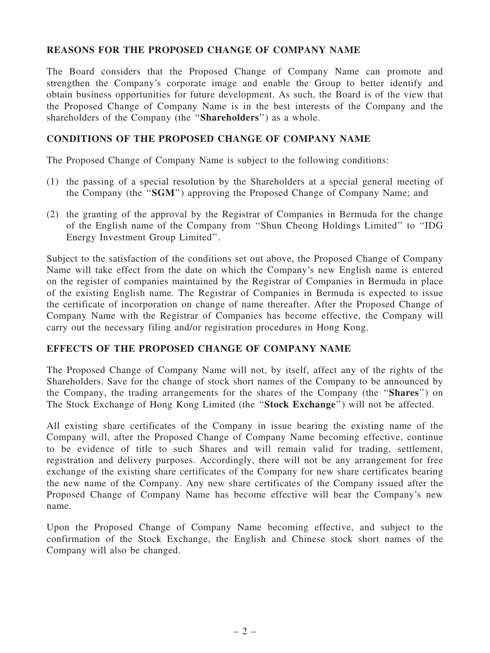## REASONS FOR THE PROPOSED CHANGE OF COMPANY NAME

The Board considers that the Proposed Change of Company Name can promote and strengthen the Company's corporate image and enable the Group to better identify and obtain business opportunities for future development. As such, the Board is of the view that the Proposed Change of Company Name is in the best interests of the Company and the shareholders of the Company (the "Shareholders") as a whole.

### CONDITIONS OF THE PROPOSED CHANGE OF COMPANY NAME

The Proposed Change of Company Name is subject to the following conditions:

- (1) the passing of a special resolution by the Shareholders at a special general meeting of the Company (the ''SGM'') approving the Proposed Change of Company Name; and
- (2) the granting of the approval by the Registrar of Companies in Bermuda for the change of the English name of the Company from ''Shun Cheong Holdings Limited'' to ''IDG Energy Investment Group Limited''.

Subject to the satisfaction of the conditions set out above, the Proposed Change of Company Name will take effect from the date on which the Company's new English name is entered on the register of companies maintained by the Registrar of Companies in Bermuda in place of the existing English name. The Registrar of Companies in Bermuda is expected to issue the certificate of incorporation on change of name thereafter. After the Proposed Change of Company Name with the Registrar of Companies has become effective, the Company will carry out the necessary filing and/or registration procedures in Hong Kong.

#### EFFECTS OF THE PROPOSED CHANGE OF COMPANY NAME

The Proposed Change of Company Name will not, by itself, affect any of the rights of the Shareholders. Save for the change of stock short names of the Company to be announced by the Company, the trading arrangements for the shares of the Company (the ''Shares'') on The Stock Exchange of Hong Kong Limited (the ''Stock Exchange'') will not be affected.

All existing share certificates of the Company in issue bearing the existing name of the Company will, after the Proposed Change of Company Name becoming effective, continue to be evidence of title to such Shares and will remain valid for trading, settlement, registration and delivery purposes. Accordingly, there will not be any arrangement for free exchange of the existing share certificates of the Company for new share certificates bearing the new name of the Company. Any new share certificates of the Company issued after the Proposed Change of Company Name has become effective will bear the Company's new name.

Upon the Proposed Change of Company Name becoming effective, and subject to the confirmation of the Stock Exchange, the English and Chinese stock short names of the Company will also be changed.